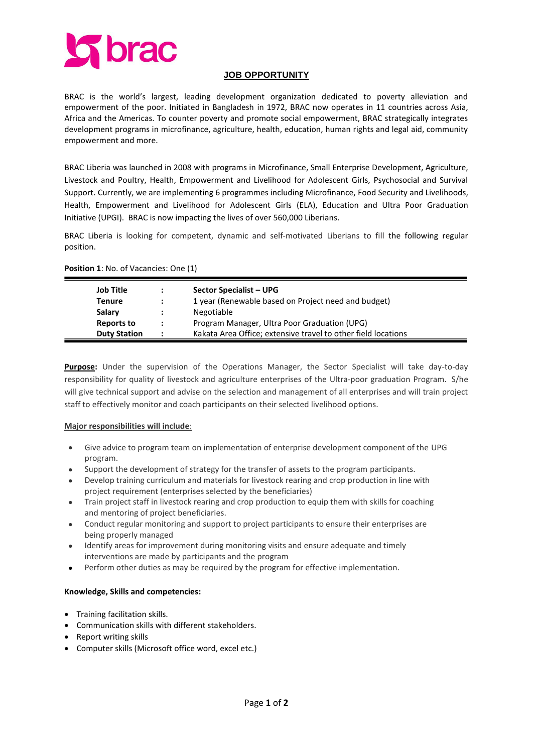

### **JOB OPPORTUNITY**

BRAC is the world's largest, leading development organization dedicated to poverty alleviation and empowerment of the poor. Initiated in Bangladesh in 1972, BRAC now operates in 11 countries across Asia, Africa and the Americas. To counter poverty and promote social empowerment, BRAC strategically integrates development programs in microfinance, agriculture, health, education, human rights and legal aid, community empowerment and more.

BRAC Liberia was launched in 2008 with programs in Microfinance, Small Enterprise Development, Agriculture, Livestock and Poultry, Health, Empowerment and Livelihood for Adolescent Girls, Psychosocial and Survival Support. Currently, we are implementing 6 programmes including Microfinance, Food Security and Livelihoods, Health, Empowerment and Livelihood for Adolescent Girls (ELA), Education and Ultra Poor Graduation Initiative (UPGI). BRAC is now impacting the lives of over 560,000 Liberians.

BRAC Liberia is looking for competent, dynamic and self-motivated Liberians to fill the following regular position.

|  |  |  |  | <b>Position 1: No. of Vacancies: One (1)</b> |  |
|--|--|--|--|----------------------------------------------|--|
|--|--|--|--|----------------------------------------------|--|

| <b>Job Title</b>    | $\ddot{\phantom{a}}$ | <b>Sector Specialist - UPG</b>                                |
|---------------------|----------------------|---------------------------------------------------------------|
| Tenure              |                      | 1 year (Renewable based on Project need and budget)           |
| Salary              |                      | Negotiable                                                    |
| Reports to          | $\mathbf{r}$         | Program Manager, Ultra Poor Graduation (UPG)                  |
| <b>Duty Station</b> |                      | Kakata Area Office; extensive travel to other field locations |

**Purpose:** Under the supervision of the Operations Manager, the Sector Specialist will take day-to-day responsibility for quality of livestock and agriculture enterprises of the Ultra-poor graduation Program. S/he will give technical support and advise on the selection and management of all enterprises and will train project staff to effectively monitor and coach participants on their selected livelihood options.

### **Major responsibilities will include**:

- Give advice to program team on implementation of enterprise development component of the UPG program.
- Support the development of strategy for the transfer of assets to the program participants.
- Develop training curriculum and materials for livestock rearing and crop production in line with project requirement (enterprises selected by the beneficiaries)
- Train project staff in livestock rearing and crop production to equip them with skills for coaching and mentoring of project beneficiaries.
- Conduct regular monitoring and support to project participants to ensure their enterprises are being properly managed
- Identify areas for improvement during monitoring visits and ensure adequate and timely interventions are made by participants and the program
- Perform other duties as may be required by the program for effective implementation.

## **Knowledge, Skills and competencies:**

- Training facilitation skills.
- Communication skills with different stakeholders.
- Report writing skills
- Computer skills (Microsoft office word, excel etc.)